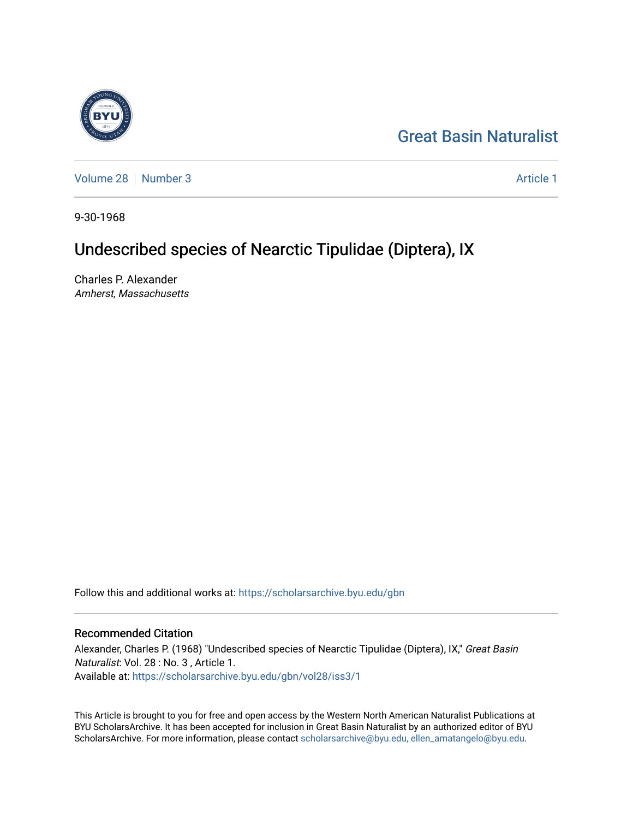# [Great Basin Naturalist](https://scholarsarchive.byu.edu/gbn)



[Volume 28](https://scholarsarchive.byu.edu/gbn/vol28) [Number 3](https://scholarsarchive.byu.edu/gbn/vol28/iss3) [Article 1](https://scholarsarchive.byu.edu/gbn/vol28/iss3/1) Article 1

9-30-1968

# Undescribed species of Nearctic Tipulidae (Diptera), IX

Charles P. Alexander Amherst, Massachusetts

Follow this and additional works at: [https://scholarsarchive.byu.edu/gbn](https://scholarsarchive.byu.edu/gbn?utm_source=scholarsarchive.byu.edu%2Fgbn%2Fvol28%2Fiss3%2F1&utm_medium=PDF&utm_campaign=PDFCoverPages) 

## Recommended Citation

Alexander, Charles P. (1968) "Undescribed species of Nearctic Tipulidae (Diptera), IX," Great Basin Naturalist: Vol. 28 : No. 3 , Article 1. Available at: [https://scholarsarchive.byu.edu/gbn/vol28/iss3/1](https://scholarsarchive.byu.edu/gbn/vol28/iss3/1?utm_source=scholarsarchive.byu.edu%2Fgbn%2Fvol28%2Fiss3%2F1&utm_medium=PDF&utm_campaign=PDFCoverPages)

This Article is brought to you for free and open access by the Western North American Naturalist Publications at BYU ScholarsArchive. It has been accepted for inclusion in Great Basin Naturalist by an authorized editor of BYU ScholarsArchive. For more information, please contact [scholarsarchive@byu.edu, ellen\\_amatangelo@byu.edu.](mailto:scholarsarchive@byu.edu,%20ellen_amatangelo@byu.edu)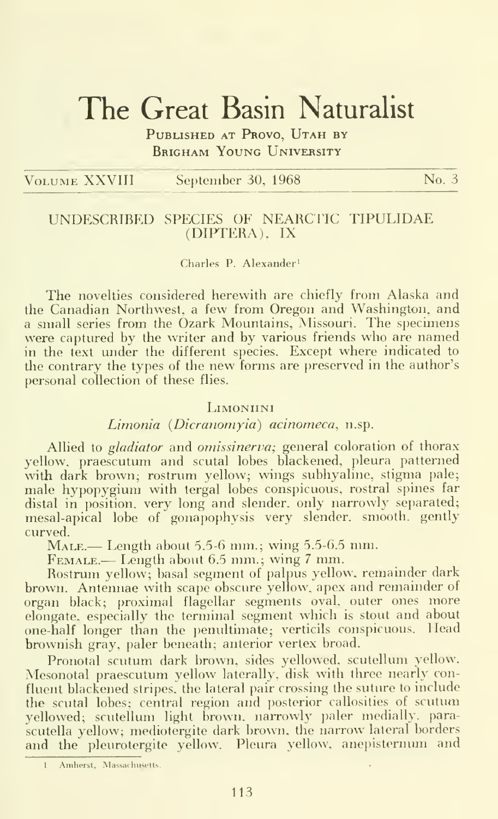# The Great Basin Naturalist

PUBLISHED AT PROVO, UTAH BY BRIGHAM YOUNG UNIVERSITY

| VOLUME XXVIII<br>September 30, 1968 | No. 3 |
|-------------------------------------|-------|
|-------------------------------------|-------|

#### UNDESCRIBED SPECIES OF NEARCIIC TIPULIDAE (DIPTERA), IX

Charles P. Alexander'

The novelties considered herewith are chiefly from Alaska and the Canadian Northwest, a few from Oregon and Washington, and <sup>a</sup> small series from the Ozark Mountains, Missouri. The specimens were captured by the writer and by various friends who are named in the text under the different species. Except where indicated to the contrary the types of the new forms are preserved in the author's personal collection of these flies.

#### LiMONIINI

### Limonia (Dicranomyia) acinomeca, n.sp.

Allied to gladiator and omissinerva; general coloration of thorax yellow, praescutum and scutal lobes blackened, pleura patterned with dark brown; rostrum yellow; wings subhyaline, stigma pale; male hypopygium with tergal lobes conspicuous, rostral spines far distal in position, very long and slender, only narrowly separated; mesal-apical lobe of gonapophysis very slender, smooth, gently curved.

 $M_{ALE.}$  Length about 5.5-6 mm.; wing 5.5-6.5 mm.

FEMALE.— Length about 6.5 mm.; wing 7 mm.

Rostrum yellow; basal segment of palpus yellow, remainder dark brown. Antennae with scape obscure yellow, apex and remainder of organ black; proximal flagellar segments oval, outer ones more elongate, especially the terminal segment which is stout and about one-half longer than the penultimate; verticils conspicuous. Head brownish gray, paler beneath; anterior vertex broad.

Pronotal scutum dark brown, sides yellowed, scutellum yellow. Mesonotal praescutum yellow laterally, disk with three nearly confluent blackened stripes, the lateral pair crossing the suture to include the scutal lobes; central region and posterior callosities of scutum yellowed; scutellum light brown, narrowly paler medially, parascutella yellow; mediotergite dark brown, the narrow lateral borders and the pleurotergite yellow. Pleura yellow, anepisternum and

<sup>1</sup> Amherst, Massachusetts.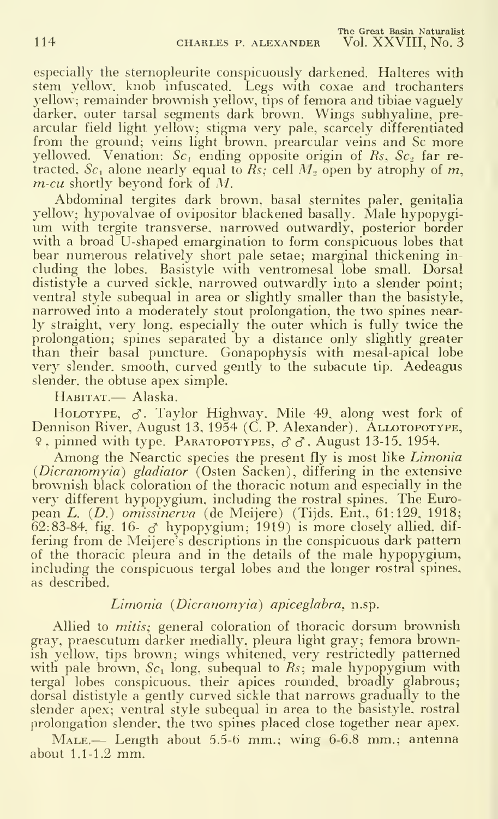especially the sternopleurite conspicuously darkened. Halteres with stem yellow, knob infuscated. Legs with coxae and trochanters yellow; remainder brownish yellow, tips of femora and tibiae vaguely darker, outer tarsal segments dark brown. Wings subhyaline, pre arcular field light yellow; stigma very pale, scarcely differentiated from the ground; veins light brown, prearcular veins and Sc more yellowed. Venation:  $Sc<sub>1</sub>$  ending opposite origin of Rs,  $Sc<sub>2</sub>$  far retracted,  $Sc<sub>1</sub>$  alone nearly equal to  $\overline{Rs}$ ; cell  $M<sub>2</sub>$  open by atrophy of m,  $m$ -cu shortly beyond fork of M.

Abdominal tergites dark brown, basal sternites paler, genitalia yellow; hypovalvae of ovipositor blackened basally. Male hypopygium with tergite transverse, narrowed outwardly, posterior border with a broad U-shaped emargination to form conspicuous lobes that bear numerous relatively short pale setae; marginal thickening in cluding the lobes. Basistyle with ventromesal lobe small. Dorsal dististyle a curved sickle, narrowed outwardly into a slender point; ventral style subequal in area or slightly smaller than the basistyle, narrowed into a moderately stout prolongation, the two spines nearly straight, very long, especially the outer which is fully twice the prolongation; spines separated by a distance only slightly greater than their basal puncture. Gonapophysis with mesal-apical lobe very slender, smooth, curved gently to the subacute tip. Aedeagus slender, the obtuse apex simple.

HABITAT.— Alaska.

HOLOTYPE,  $\sigma$ . Taylor Highway, Mile 49, along west fork of Dennison River, August 13, 1954 (C. P. Alexander). ALLOTOPOTYPE,  $9$ , pinned with type. PARATOPOTYPES,  $\sigma$   $\sigma$ , August 13-15, 1954.

Among the Nearctic species the present fly is most like Limonia (Dicranomyia) gladiator (Osten Sacken), differing in the extensive brownish black coloration of the thoracic notum and especially in the very different hypopygium, including the rostral spines. The European L. (D.) omissinerva (de Meijere) (Tijds. Ent., 61:129, 1918;  $62:83-84$ , fig. 16-  $\sigma$  hypopygium; 1919) is more closely allied, differing from de Meijere's descriptions in the conspicuous dark pattern of the thoracic pleura and in the details of the male hypopygium, including the conspicuous tergal lobes and the longer rostral spines, as described.

#### Limonia {Dicranomyia) apiceglabra, n.sp.

Allied to *mitis*; general coloration of thoracic dorsum brownish gray, praescutum darker medially, pleura light gray; femora brownish yellow, tips brown; wings whitened, very restrictedly patterned with pale brown,  $Sc<sub>1</sub>$  long, subequal to  $Rs$ ; male hypopygium with tergal lobes conspicuous, their apices rounded, broadly glabrous; dorsal dististyle a gently curved sickle that narrows gradually to the slender apex; ventral style subequal in area to the basistyle, rostral prolongation slender, the two spines placed close together near apex.

Male<sup>-</sup> Length about 5.5-6 mm.; wing 6-6.8 mm.; antenna about 1.1-1.2 mm.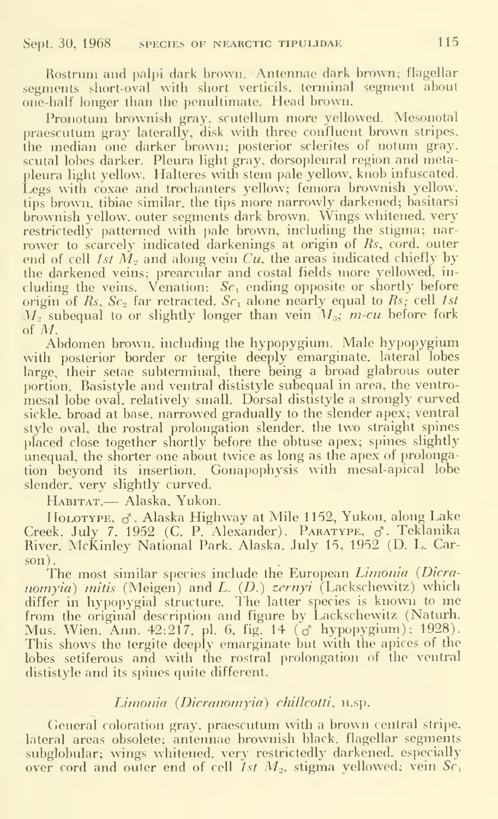Rostrum and palpi dark brown. Antennae dark brown; flagellar segments short-oval with short verticils, terminal segment about one-half longer than the penultimate. Head brown.

Pronotum brownish gray, scutellum more yellowed. Mesonotal praescutum gray laterally, disk with three confluent brown stripes, the median one darker brown; posterior sclerites of notum gray, scutal lobes darker. Pleura light gray, dorsopleural region and metapleura light yellow. Halteres with stem pale yellow, knob infuscated. Legs with coxae and trochanters yellow; femora brownish yellow, tips brown, tibiae similar, the tips more narrowly darkened; basitarsi brownish yellow, outer segments dark brown. Wings whitened, very restrictedly patterned with pale brown, including the stigma; nar rower to scarcely indicated darkenings at origin of Rs, cord, outer end of cell 1st  $\tilde{M}_2$  and along vein  $Cu$ , the areas indicated chiefly by the darkened veins; prearcular and costal fields more yellowed, in cluding the veins. Venation:  $S_{C_1}$  ending opposite or shortly before origin of  $Rs$ ,  $Sc_2$  far retracted,  $Sc_1$  alone nearly equal to  $Rs$ ; cell 1st  $M_z$  subequal to or slightly longer than vein  $M_z$ ; m-cu before fork of  $M$ .

Abdomen brown, including the hypopygium. Male hypopygium with posterior border or tergite deeply emarginate. lateral lobes large, their setae subterminal, there being a broad glabrous outer portion. Basistyle and ventral dististyle subequal in area, the ventromesal lobe oval, relatively small. Dorsal dististyle a strongly curved sickle, broad at base, narrowed gradually to the slender apex; ventral style oval, the rostral prolongation slender, the two straight spines placed close together shortly before the obtuse apex; spines slightly unequal, the shorter one about twice as long as the apex of prolongation beyond its insertion. Gonapophysis with mesal-apical lobe slender, very slightly curved.

Habitat.— Alaska, Yukon.

HoLOTYPE,  $\delta$ . Alaska Highway at Mile 1152, Yukon, along Lake Creek. July 7. 1952 (C. P. Alexander). PARATYPE,  $\sigma$ . Teklanika River. McKinley National Park, Alaska, July 15. 1952 (D. L. Carson).

The most similar species include the European Limonia (Dicranomyia) mitis (Meigen) and *L. (D.) zernyi (*Lackschewitz) which differ in hypopygial structure. The latter species is known to me from the original description and figure by Lackschewitz (Naturh. Mus. Wien. Ann. 42:217, pl. 6, fig. 14 ( $\sigma$  hypopygium): 1928). This shows the tergite deeply emarginate but with the apices of the lobes setiferous and with the rostral prolongation of the ventral dististyle and its spines quite different.

#### $Limonia$  (Dicranomyia) chillcotti, n.sp.

General coloration gray, praescutum with a brown central stripe. lateral areas obsolete; antennae brownish black, flagellar segments subglobular; wings whitened, very restrictedly darkened, especially over cord and outer end of cell 1st  $M_2$ , stigma yellowed; vein  $Sc_1$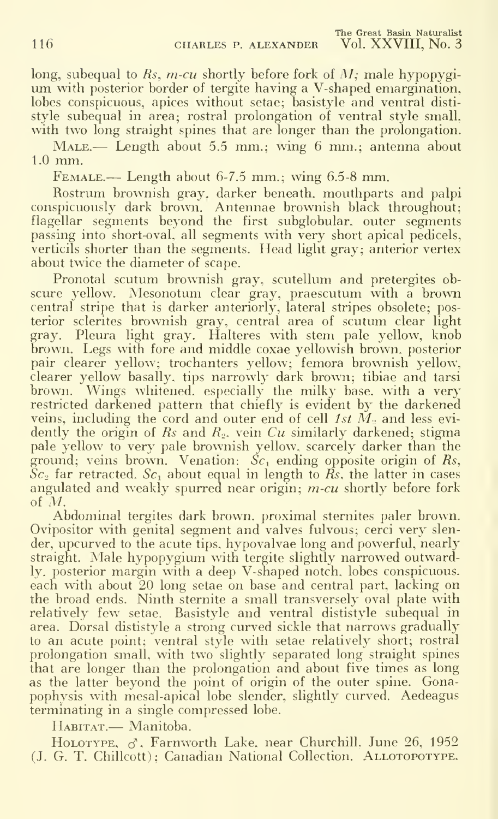long, subequal to Rs, m-cu shortly before fork of  $M$ ; male hypopygium with posterior border of tergite having <sup>a</sup> V-shaped emargination, lobes conspicuous, apices without setae; basistyle and ventral disti style subequal in area; rostral prolongation of ventral style small, with two long straight spines that are longer than the prolongation.

MALE.— Length about 5.5 mm.; wing 6 mm.; antenna about 1.0 mm.

Female.— Length about 6-7.5 mm.; wing 6.5-8 mm.

Rostrum brownish gray, darker beneath, mouthparts and palpi conspicuously dark brown. Antennae brownish black throughout; flagellar segments beyond the first subglobular, outer segments passing into short-oval, all segments with very short apical pedicels, verticils shorter than the segments. Head light gray; anterior vertex about twice the diameter of scape.

Pronotal scutum brownish gray, scutellum and pretergites ob scure yellow. Mesonotum clear gray, praescutum with a brown central stripe that is darker anteriorly, lateral stripes obsolete; posterior sclerites brownish gray, central area of scutum clear light gray. Pleura light gray. Halteres with stem pale yellow, knob brown. Legs with fore and middle coxae yellowish brown, posterior pair clearer yellow; trochanters yellow; femora brownish yellow, clearer yellow basally, tips narrowly dark brown; tibiae and tarsi brown. Wings whitened, especially the milky base, with a very restricted darkened pattern that chiefly is evident by the darkened veins, including the cord and outer end of cell  $1st M_2$  and less evidently the origin of Rs and  $R_2$ , vein Cu similarly darkened; stigma pale yellow to very pale brownish yellow, scarcely darker than the ground; veins brown. Venation:  $Sc<sub>1</sub>$  ending opposite origin of Rs,  $Sc<sub>2</sub>$  far retracted.  $Sc<sub>1</sub>$  about equal in length to  $\overrightarrow{Rs}$ , the latter in cases angulated and weakly spurred near origin;  $m$ -cu shortly before fork of M.

Abdominal tergites dark brown, proximal sternites paler brown. Ovipositor with genital segment and valves fulvous; cerci very slender, upcurved to the acute tips, hypovalvae long and powerful, nearly straight. Male hypopygium with tergite slightly narrowed outwardly, posterior margin with a deep V-shaped notch, lobes conspicuous, each with about 20 long setae on base and central part, lacking on the broad ends. Ninth sternite a small transversely oval plate with relatively few setae. Basistyle and ventral dististyle subequal in area. Dorsal dististyle a strong curved sickle that narrows gradually to an acute point; ventral style with setae relatively short; rostral prolongation small, with two slightly separated long straight spines that are longer than the prolongation and about five times as long as the latter beyond the point of origin of the outer spine. Gonapophysis with mesal-apical lobe slender, slightly curved. Aedeagus terminating in a single compressed lobe.

HABITAT.— Manitoba.

HOLOTYPE,  $\sigma$ , Farnworth Lake, near Churchill, June 26, 1952 (J. G. T. Chillcott) ; Canadian National Collection. Allotopotype.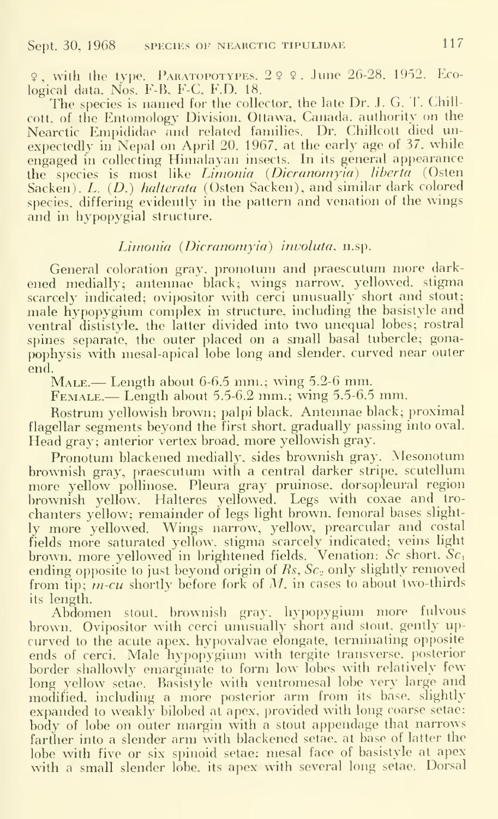$9$ , with the type. PARATOPOTYPES.  $299$ . June 26-28. 1952. Ecological data. Nos. F-B. F-C. F.D. 18.

The species is named for the collector, the late Dr. J. G. T. Chillcott. of the Entomology Division. Ottawa, Canada, authority on the Nearctic Empididae and related families. Dr. Chillcott died unexpectedly in Nepal on April 20. 1967, at the early age of 37, while engaged in collecting Himalayan insects. In its general appearance the species is most like Limonia (Dicranomyia) liberta (Osten Sacken). L. (D.) halterata (Osten Sacken), and similar dark colored species, differing evidently in the pattern and venation of the wings and in hypopygial structure.

#### Limonia {Dicranomyia) involuta, n.sp.

General coloration gray, pronotum and praescutum more darkened medially; antennae black; wings narrow, yellowed, stigma scarcely indicated; ovipositor with cerci unusually short and stout; male hypopygium complex in structure, including the basistyle and ventral dististyle, the latter divided into two unequal lobes; rostral spines separate, the outer placed on a small basal tubercle; gonapophysis with mesal-apical lobe long and slender, curved near outer end.

MALE.— Length about 6-6.5 mm.; wing 5.2-6 mm.

Female.— Length about 5.5-6.2 mm.; wing 5.5-6.5 mm.

Rostrum yellowish brown; palpi black. Antennae black; proximal flagellar segments beyond the first short, gradually passing into oval. Head gray; anterior vertex broad, more yellowish gray.

Pronotum blackened medially, sides brownish gray. Mesonotum brownish gray, praescutum with a central darker stripe, scutellum more yellow pollinose. Pleura gray pruinose. dorsopleural region brownish yellow. Halteres yellowed. Legs with coxae and tro chanters yellow; remainder of legs light brown, femoral bases slightly more yellowed. Wings narrow, yellow, prearcular and costal fields more saturated yellow, stigma scarcely indicated; veins light brown, more yellowed in brightened fields. Venation:  $Sc$  short.  $Sc<sub>1</sub>$ ending opposite to just beyond origin of  $Rs$ ,  $Sc<sub>2</sub>$  only slightly removed from tip;  $m$ -cu shortly before fork of  $M$ , in cases to about two-thirds its length.

Abdomen stout, brownish gray, hypopygium more fulvous brown. Ovipositor with cerci unusually short and stout, gently upcurved to the acute apex, hypovalvae elongate, terminating opposite ends of cerci. Male hypopygium with tergite transverse, posterior border shallowly emarginate to form low lobes with relatively few long yellow setae. Basistyle with ventromesal lobe very large and modified, including <sup>a</sup> more posterior arm from its base, slightly expanded to weakly bilobed at apex, provided with long coarse setae: body of lobe on outer margin with a stout appendage that narrows farther into a slender arm with blackened setae, at base of latter the lobe with five or six spinoid setae; mesal face of basistyle at apex with a small slender lobe, its apex with several long setae. Dorsal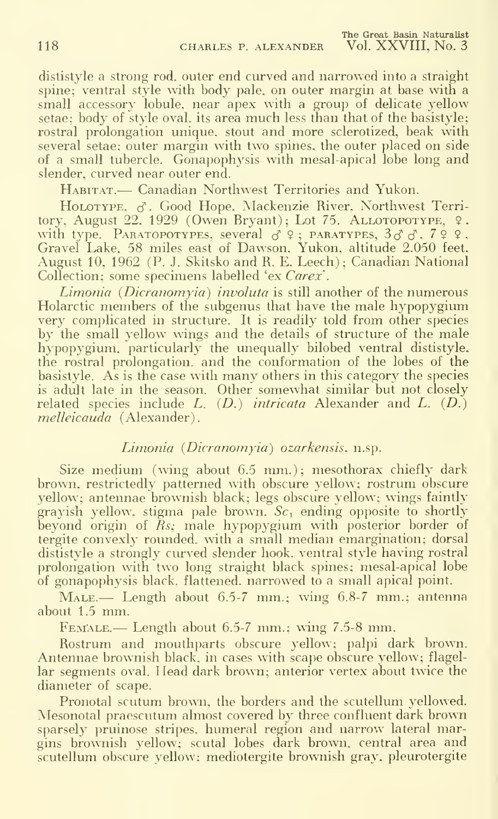dististyle a strong rod, outer end curved and narrowed into a straight spine; ventral style with body pale, on outer margin at base with a small accessory lobule, near apex with a group of delicate yellow setae; body of style oval, its area much less than that of the basistyle; rostral prolongation unique, stout and more sclerotized, beak with several setae; outer margin with two spines, the outer placed on side of a small tubercle. Gonapophysis with mesal-apical lobe long and slender, curved near outer end.

Habitat.— Canadian Northwest Territories and Yukon.

HOLOTYPE.  $\sigma$ . Good Hope, Mackenzie River, Northwest Territory, August 22. 1929 (Owen Bryant); Lot 75. ALLOTOPOTYPE, ?. with type. Paratopotypes, several  $\beta$  ?; paratypes, 3 $\beta$   $\beta$  , 7 ? ? . Gravel Lake, 58 miles east of Dawson. Yukon, altitude 2.050 feet. August 10, 1962 (P. J. Skitsko and R. E. Leech); Canadian National Collection; some specimens labelled 'ex *Carex*'.

*Limonia (Dicranomyia) involuta* is still another of the numerous Holarctic members of the subgenus that have the male hypopygium very complicated in structure. It is readily told from other species by the small yellow wings and the details of structure of the male hypopygium. particularly the unequally bilobed ventral dististyle. the rostral prolongation, and the conformation of the lobes of the basistyle. As is the case with many others in this category the species is adult late in the season. Other somewhat similar but not closely related species include L.  $(D.)$  intricata Alexander and L.  $(D.)$ melleicauda (Alexander).

#### Limonia {Dicranomyia) ozarkensis. n.sp.

Size medium (wing about 6.5 mm.); mesothorax chiefly dark brown, restrictedly patterned with obscure yellow; rostrum obscure yellow; antennae brownish black; legs obscure yellow; wings faintly grayish yellow, stigma pale brown.  $Sc_1$  ending opposite to shortly beyond origin of  $\mathit{Rs};$  male hypopygium with posterior border of tergite convexly rounded, with a small median emargination; dorsal dististyle a strongly curved slender hook, ventral style having rostral prolongation with two long straight black spines; mesal-apical lobe of gonapophysis black, flattened, narrowed to a small apical point.

MALE.— Length about 6.5-7 mm.; wing 6.8-7 mm.; antenna about 1.5 mm.

 $FenIALE.$  Length about 6.5-7 mm.; wing 7.5-8 mm.

Rostrum and mouthparts obscure yellow; palpi dark brown. Antennae brownish black, in cases with scape obscure yellow; flagel lar segments oval. Head dark brown; anterior vertex about twice the diameter of scape.

Pronotal scutum brown, the borders and the scutellum yellowed. Mesonotal praescutum almost covered by three confluent dark brown sparsely pruinose stripes, humeral region and narrow lateral margins brownish yellow; scutal lobes dark brown, central area and scutellum obscure yellow; mediotergite brownish gray, pleurotergite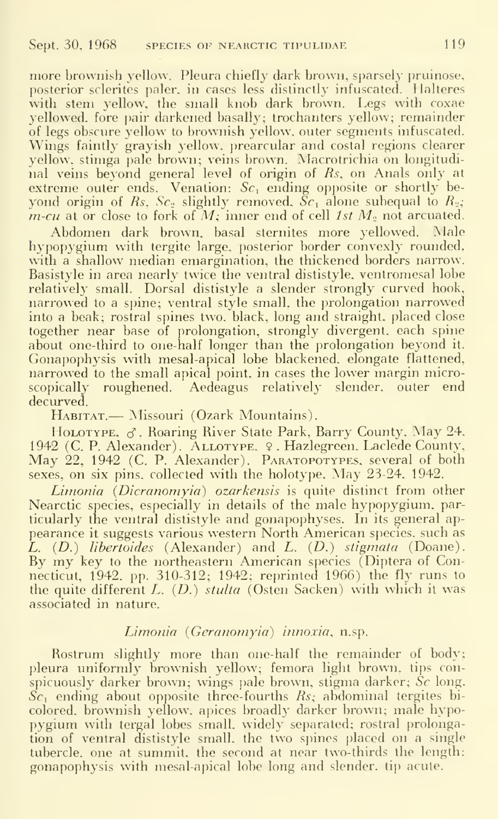more brownish yellow. Pleura chiefly dark brown, sparsely pruinose, posterior sclerites paler, in cases less distinctly infuscated. <sup>I</sup> lalteres with stem yellow, the small knob dark brown. Legs with coxae yellowed, fore pair darkened basally; trochanters yellow; remainder of legs obscure yellow to brownish yellow, outer segments infuscated. Wings faintly grayish yellow, prearcular and costal regions clearer yellow, stimga pale brown; veins brown. Macrotrichia on longitudinal veins beyond general level of origin of Rs, on Anals only at extreme outer ends. Venation:  $Sc<sub>1</sub>$  ending opposite or shortly beyond origin of Rs,  $Sc<sub>2</sub>$  slightly removed.  $Sc<sub>1</sub>$  alone subequal to  $R<sub>2</sub>$ ; m-cu at or close to fork of  $M$ ; inner end of cell 1st  $M<sub>2</sub>$  not arcuated.

Abdomen dark brown, basal sternites more yellowed. Male hypopygium with tergite large, posterior border convexly rounded, with a shallow median emargination, the thickened borders narrow. Basistyle in area nearly twice the ventral dististyle. ventromesal lobe relatively small. Dorsal dististyle a slender strongly curved hook, narrowed to a spine; ventral style small, the prolongation narrowed into a beak; rostral spines two. black, long and straight, placed close together near base of prolongation, strongly divergent, each spine about one-third to one-half longer than the prolongation beyond it. Gonapophysis with mesal-apical lobe blackened, elongate flattened, narrowed to the small apical point, in cases the lower margin microscopically roughened. Aedeagus relatively slender, outer end decurved.

HABITAT.— Missouri (Ozark Mountains).

HOLOTYPE,  $\sigma$ . Roaring River State Park, Barry County. May 24, 1942 (C. P. Alexander). ALLOTYPE. 9. Hazlegreen. Laclede County, May 22, 1942 (C. P. Alexander). PARATOPOTYPES, several of both sexes, on six pins, collected with the holotype. May 23-24. 1942.

Limonia (Dicranomyia) ozarkensis is quite distinct from other Nearctic species, especially in details of the male hypopygium, particularly the ventral dististyle and gonapophyses. In its general ap pearance it suggests various western North American species. such as L.  $(D.)$  libertoides (Alexander) and L.  $(D.)$  stigmata (Doane). By my key to the northeastern American species (Diptera of Connecticut, 1942. pp. 310-312; 1942; reprinted 1966) the fly runs to the quite different  $L.$  (D.) stulta (Osten Sacken) with which it was associated in nature.

#### Limonia (Geranomyia) innoxia, n.sp.

Rostrum slightly more than one-half the remainder of body; pleura uniformly brownish yellow; femora light brown, tips con spicuously darker brown; wings pale brown, stigma darker;  $\dot{S}c$  long.  $\overline{Sc_1}$  ending about opposite three-fourths  $\overline{Rs}$ ; abdominal tergites bicolored, brownish yellow, apices broadly darker brown; male hypopygium with tergal lobes small, widely separated; rostral prolongation of ventral dististyle small, the two spines placed on a single tubercle, one at summit, the second at near two-thirds the length; gonapophysis with mesal-apical lobe long and slender, tip acute.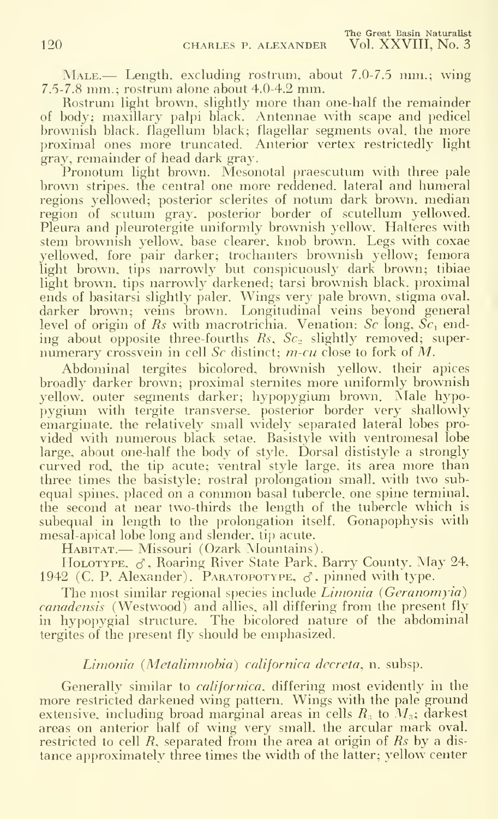MALE.— Length, excluding rostrum, about 7.0-7.5 mm.; wing 7.5-7.8 mm.; rostrum alone about 4.0-4.2 mm.

Rostrum light brown, slightly more than one-half the remainder of body; maxillary palpi black. Antennae with scape and pedicel brownish black, flagellum black; flagellar segments oval, the more proximal ones more truncated. Anterior vertex restrictedly hght gray, remainder of head dark gray.

Pronotum light brown. Mesonotal praescutum with three pale brown stripes, the central one more reddened, lateral and humeral regions yellowed; posterior sclerites of notum dark brown, median region of scutum gray, posterior border of scutellum yellowed. Pleura and pleurotergite uniformly brownish yellow. Halteres with stem brownish yellow, base clearer, knob brown. Legs with coxae yellowed, fore pair darker; trochanters brownish yellow; femora light brown, tips narrowly but conspicuously dark brown; tibiae light brown, tips narrowly darkened; tarsi brownish black, proximal ends of basitarsi slightly paler. Wings very pale brown, stigma oval, darker brown; veins brown. Longitudinal veins beyond general level of origin of Rs with macrotrichia. Venation: Sc long,  $S_{c_1}$  ending about opposite three-fourths  $Rs$ ,  $Sc<sub>2</sub>$  slightly removed; supernumerary crossvein in cell Sc distinct; *m-cu* close to fork of M.

Abdominal tergites bicolored, brownish yellow, their apices broadly darker brown; proximal sternites more uniformly brownish yellow, outer segments darker; hypopygium brown. Male hypopygium with tergite transverse, posterior border very shallowly emarginate. the relatively small widely separated lateral lobes pro vided with numerous black setae. Basistyle with ventromesal lobe large, about one-half the body of style. Dorsal dististyle a strongly curved rod, the tip acute; ventral style large, its area more than three times the basistyle; rostral prolongation small, with two subequal spines, placed on <sup>a</sup> common basal tubercle, one spine terminal, the second at near two-thirds the length of the tubercle which is subequal in length to the prolongation itself. Gonapophysis with mesal-apical lobe long and slender, tip acute.

at-apicat tobe tong and stender, up actite.<br>Навітат.— Missouri (Ozark Mountains).

Holotype.  $\sigma$ , Roaring River State Park, Barry County. May 24, 1942 (C. P. Alexander). PARATOPOTYPE,  $\sigma$ , pinned with type.

The most similar regional species include *Limonia* (*Geranomyia*) canadensis (Westwood) and allies, all differing from the present fly in hypopygial structure. The bicolored nature of the abdominal tergites of the present fly should be emphasized.

#### Limonia (Metalimnobia) californica decreta, n. subsp.

Generally similar to californica, differing most evidently in the more restricted darkened wing pattern. Wings with the pale ground extensive, including broad marginal areas in cells  $R<sub>3</sub>$  to  $M<sub>3</sub>$ ; darkest areas on anterior half of wing very small, the arcular mark oval, restricted to cell R, separated from the area at origin of Rs by a distance approximately three times the width of the latter; yellow center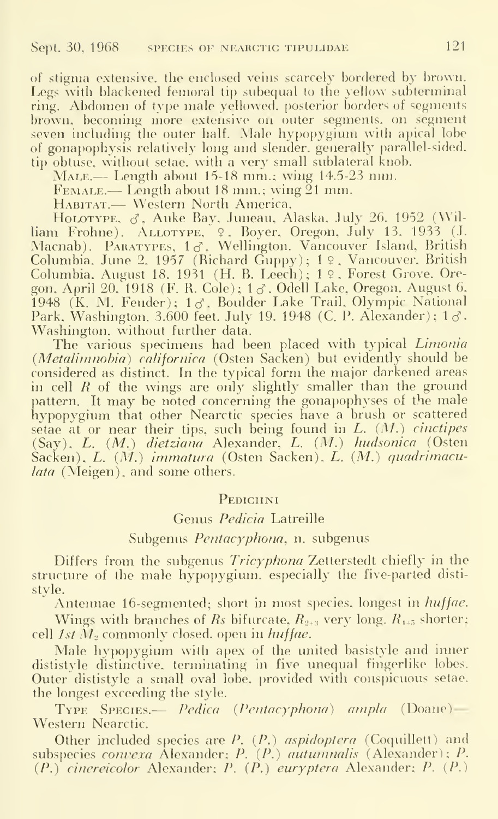of stigma oxtensive. the enclosed veins scarcely bordered by brown. Legs with blackened femoral tip subequal to the yellow subterminal ring. Abdomen of type male yellowed, posterior borders of segments brown, becoming more extensive on outer segments, on segment seven including the outer half. Male hypopygium with apical lobe of gonapophysis relatively long and slender, generally parallel-sided, tip obtuse, without setae, with a very small sublateral knob.

 $M_{ALE.}$  Length about 15-18 mm.; wing 14.5-23 mm.

MALE.— Length about 19-18 mm.; wing 14.9-29 mm<br>Female.— Length about 18 mm.; wing 21 mm.

r Eмаде.— Length about 18 mm.; wing 21<br>Навітат.— Western North America.

HoLOTYPE,  $\delta$ , Auke Bay. Juneau, Alaska. July 26, 1952 (William Frohne). Allotype, 9. Boyer, Oregon, July 13. 1933 (J. Macnab). Paratypes, 1 $\sigma$ , Wellington. Vancouver Island, British Columbia. June 2. 1957 (Richard Guppy); <sup>1</sup> 9. Vancouver, British Columbia. August 18, 1931 (H. B. Leech); <sup>1</sup> 9, Forest Grove. Oregon, April 20, 1918 (F. R. Cole);  $1 \sigma$ . Odell Lake, Oregon. August 6, 1948 (K. M. Fender);  $1\sigma$ . Boulder Lake Trail, Olympic National Park. Washington. 3.600 feet. July 19. 1948 (C. P. Alexander);  $1\sigma$ . Washington, without further data.

The various specimens had been placed with typical Limonia (*Metalimnobia*) *californica* (Osten Sacken) but evidently should be considered as distinct. In the typical form the major darkened areas in cell  $R$  of the wings are only slightly smaller than the ground pattern. It may be noted concerning the gonapophyses of the male hypopygium that other Nearctic species have a brush or scattered setae at or near their tips, such being found in  $L. (M.)$  cinctipes (Say), L. (M.) dietziana Alexander, L. (M.) hudsonica (Osten Sacken), L. (M.) immatura (Osten Sacken), L. (M.) quadrimacu*lata* (Meigen), and some others.

#### Pediciini

#### Genus Pedicia Latreille

#### Subgenus Pentacyphona, n. subgenus

Differs from the subgenus *Tricyphona* Zetterstedt chiefly in the structure of the male hypopygium, especially the five-parted dististyle.

Antennae 16-segmented; short in most species, longest in *huffae*.

Wings with branches of Rs bifurcate,  $R_{2+3}$  very long.  $R_{4+5}$  shorter; cell  $1st M<sub>2</sub>$  commonly closed, open in *huffae*.

Male hypopygium with apex of the united basistyle and inner dististyle distinctive, terminating in five unequal fingerlike lobes. Outer dististyle a small oval lobe, provided with conspicuous setae, the longest exceeding the style.

TYPE SPECIES.— Pedica (Pentacyphona) ampla (Doane) — Western Nearctic.

Other included species are P. (P.) *aspidoptera* (Coquillett) and subspecies convexa Alexander; P. (P.) autumnalis (Alexander); P. (P.) cinereicolor Alexander; P. (P.) euryptera Alexander; P. (P.)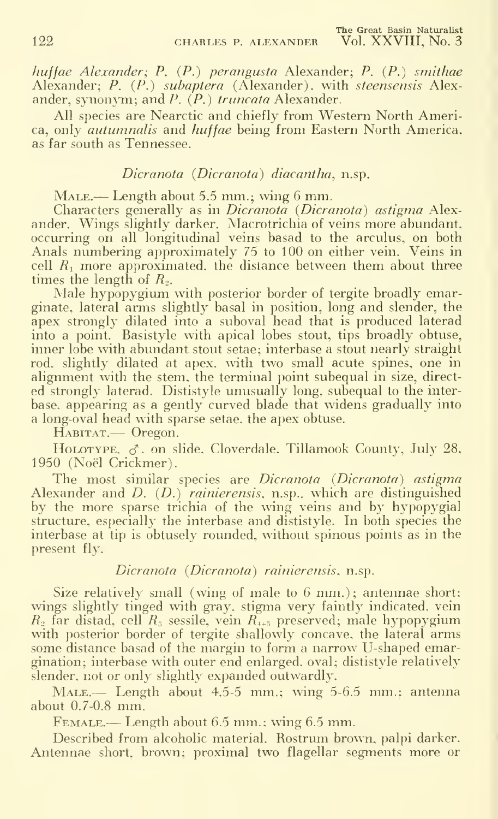The Great Basin Naturalist

huffae Alexander; P. (P.) perangusta Alexander; P. (P.) smithae Alexander; P. (P.) subaptera (Alexander), with *steensensis* Alexander, synonym; and P. (P.) truncata Alexander.

All species are Nearctic and chiefly from Western North America, only autumnalis and huffae being from Eastern North America, as far south as Tennessee.

#### Dicranota (Dicranota) diacantha, n.sp.

 $M$ <sub>ALE</sub>. Length about 5.5 mm.; wing 6 mm.

Characters generally as in Dicranota (Dicranota) astigma Alexander. Wings slightly darker. Macrotrichia of veins more abundant, occurring on all longitudinal veins basad to the arculus, on both Anals numbering approximately 75 to 100 on either vein. Veins in cell  $R_1$  more approximated, the distance between them about three times the length of  $R_{\rm a}$ .

Male hypopygium with posterior border of tergite broadly emarginate, lateral arms slightly basal in position, long and slender, the apex strongly dilated into a suboval head that is produced laterad into a point. Basistyle with apical lobes stout, tips broadly obtuse, inner lobe with abundant stout setae; interbase a stout nearly straight rod, slightly dilated at apex, with two small acute spines, one in alignment with the stem, the terminal point subequal in size, direct ed strongly laterad. Dististyle unusually long, subequal to the inter base, appearing as a gently curved blade that widens gradually into a long-oval head with sparse setae, the apex obtuse.

HABITAT.— Oregon.

HOLOTYPE,  $\delta$ . on slide, Cloverdale, Tillamook County, July 28, 1950 (Noel Crickmer).

The most similar species are Dicranota (Dicranota) astigma Alexander and D. (D.) rainierensis, n.sp., which are distinguished by the more sparse trichia of the wing veins and by hypopygial structure, especially the interbase and dististyle. In both species the interbase at tip is obtusely rounded, without spinous points as in the present fly.

#### Dicranota (Dicranota) rainierensis, n.sp.

Size relatively small (wing of male to 6 mm.); antennae short; wings slightly tinged with gray, stigma very faintly indicated, vein  $R<sub>2</sub>$  far distad, cell  $R<sub>3</sub>$  sessile, vein  $R<sub>1+5</sub>$  preserved; male hypopygium with posterior border of tergite shallowly concave, the lateral arms some distance basad of the margin to form a narrow U-shaped emargination; interbase with outer end enlarged, oval; dististyle relatively slender, not or only slightly expanded outwardly.

MALE.— Length about 4.5-5 mm.; wing 5-6.5 mm.; antenna about 0.7-0.8 mm.

Female.— Length about 6.5 mm.; wing 6.5 mm.

Described from alcoholic material. Rostrum brown, palpi darker. Antennae short, brown; proximal two flagellar segments more or